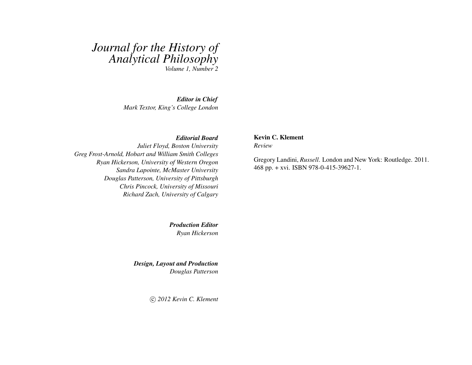## *Journal for the History of Analytical Philosophy Volume 1, Number 2*

*Editor in Chief*

*Mark Textor, King's College London*

## *Editorial Board*

*Juliet Floyd, Boston University Greg Frost-Arnold, Hobart and William Smith Colleges Ryan Hickerson, University of Western Oregon Sandra Lapointe, McMaster University Douglas Patterson, University of Pittsburgh Chris Pincock, University of Missouri Richard Zach, University of Calgary*

> *Production Editor Ryan Hickerson*

*Design, Layout and Production Douglas Patterson*

c *2012 Kevin C. Klement*

## Kevin C. Klement

*Review*

Gregory Landini, *Russell*. London and New York: Routledge. 2011. 468 pp. + xvi. ISBN 978-0-415-39627-1.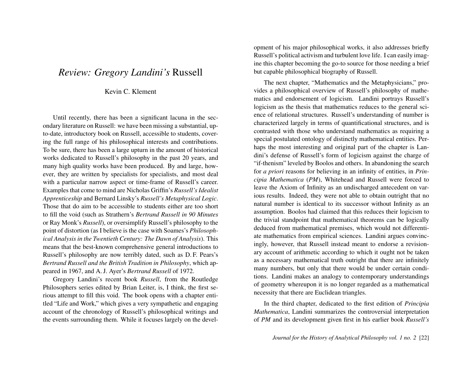## *Review: Gregory Landini's* Russell

Kevin C. Klement

Until recently, there has been a significant lacuna in the secondary literature on Russell: we have been missing a substantial, upto-date, introductory book on Russell, accessible to students, covering the full range of his philosophical interests and contributions. To be sure, there has been a large upturn in the amount of historical works dedicated to Russell's philosophy in the past 20 years, and many high quality works have been produced. By and large, however, they are written by specialists for specialists, and most deal with a particular narrow aspect or time-frame of Russell's career. Examples that come to mind are Nicholas Griffin's *Russell's Idealist Apprenticeship* and Bernard Linsky's *Russell's Metaphysical Logic*. Those that do aim to be accessible to students either are too short to fill the void (such as Strathern's *Bertrand Russell in 90 Minutes* or Ray Monk's *Russell*), or oversimplify Russell's philosophy to the point of distortion (as I believe is the case with Soames's *Philosophical Analysis in the Twentieth Century: The Dawn of Analysis*). This means that the best-known comprehensive general introductions to Russell's philosophy are now terribly dated, such as D. F. Pears's *Bertrand Russell and the British Tradition in Philosophy*, which appeared in 1967, and A. J. Ayer's *Bertrand Russell* of 1972.

Gregory Landini's recent book *Russell*, from the Routledge Philosophers series edited by Brian Leiter, is, I think, the first serious attempt to fill this void. The book opens with a chapter entitled "Life and Work," which gives a very sympathetic and engaging account of the chronology of Russell's philosophical writings and the events surrounding them. While it focuses largely on the development of his major philosophical works, it also addresses briefly Russell's political activism and turbulent love life. I can easily imagine this chapter becoming the go-to source for those needing a brief but capable philosophical biography of Russell.

The next chapter, "Mathematics and the Metaphysicians," provides a philosophical overview of Russell's philosophy of mathematics and endorsement of logicism. Landini portrays Russell's logicism as the thesis that mathematics reduces to the general science of relational structures. Russell's understanding of number is characterized largely in terms of quantificational structures, and is contrasted with those who understand mathematics as requiring a special postulated ontology of distinctly mathematical entities. Perhaps the most interesting and original part of the chapter is Landini's defense of Russell's form of logicism against the charge of "if-thenism" leveled by Boolos and others. In abandoning the search for *a priori* reasons for believing in an infinity of entities, in *Principia Mathematica* (*PM*), Whitehead and Russell were forced to leave the Axiom of Infinity as an undischarged antecedent on various results. Indeed, they were not able to obtain outright that no natural number is identical to its successor without Infinity as an assumption. Boolos had claimed that this reduces their logicism to the trivial standpoint that mathematical theorems can be logically deduced from mathematical premises, which would not differentiate mathematics from empirical sciences. Landini argues convincingly, however, that Russell instead meant to endorse a revisionary account of arithmetic according to which it ought not be taken as a necessary mathematical truth outright that there are infinitely many numbers, but only that there would be under certain conditions. Landini makes an analogy to contemporary understandings of geometry whereupon it is no longer regarded as a mathematical necessity that there are Euclidean triangles.

In the third chapter, dedicated to the first edition of *Principia Mathematica*, Landini summarizes the controversial interpretation of *PM* and its development given first in his earlier book *Russell's*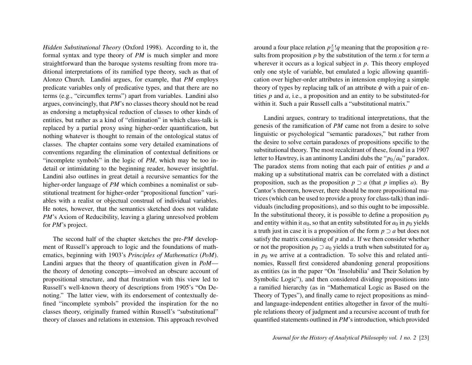*Hidden Substitutional Theory* (Oxford 1998). According to it, the formal syntax and type theory of *PM* is much simpler and more straightforward than the baroque systems resulting from more traditional interpretations of its ramified type theory, such as that of Alonzo Church. Landini argues, for example, that *PM* employs predicate variables only of predicative types, and that there are no terms (e.g., "circumflex terms") apart from variables. Landini also argues, convincingly, that *PM*'s no classes theory should not be read as endorsing a metaphysical reduction of classes to other kinds of entities, but rather as a kind of "elimination" in which class-talk is replaced by a partial proxy using higher-order quantification, but nothing whatever is thought to remain of the ontological status of classes. The chapter contains some very detailed examinations of conventions regarding the elimination of contextual definitions or "incomplete symbols" in the logic of *PM*, which may be too indetail or intimidating to the beginning reader, however insightful. Landini also outlines in great detail a recursive semantics for the higher-order language of *PM* which combines a nominalist or substitutional treatment for higher-order "propositional function" variables with a realist or objectual construal of individual variables. He notes, however, that the semantics sketched does not validate *PM*'s Axiom of Reducibility, leaving a glaring unresolved problem for *PM*'s project.

The second half of the chapter sketches the pre-*PM* development of Russell's approach to logic and the foundations of mathematics, beginning with 1903's *Principles of Mathematics* (*PoM*). Landini argues that the theory of quantification given in *PoM* the theory of denoting concepts—involved an obscure account of propositional structure, and that frustration with this view led to Russell's well-known theory of descriptions from 1905's "On Denoting." The latter view, with its endorsement of contextually defined "incomplete symbols" provided the inspiration for the no classes theory, originally framed within Russell's "substitutional" theory of classes and relations in extension. This approach revolved

around a four place relation  $p\frac{x}{q}$  $\frac{x}{a}$ !*q* meaning that the proposition *q* results from proposition *p* by the substitution of the term *x* for term *a* wherever it occurs as a logical subject in *p*. This theory employed only one style of variable, but emulated a logic allowing quantification over higher-order attributes in intension employing a simple theory of types by replacing talk of an attribute  $\phi$  with a pair of entities *p* and *a*, i.e., a proposition and an entity to be substituted-for within it. Such a pair Russell calls a "substitutional matrix."

Landini argues, contrary to traditional interpretations, that the genesis of the ramification of *PM* came not from a desire to solve linguistic or psychological "semantic paradoxes," but rather from the desire to solve certain paradoxes of propositions specific to the substitutional theory. The most recalcitrant of these, found in a 1907 letter to Hawtrey, is an antinomy Landini dubs the " $p_0/a_0$ " paradox. The paradox stems from noting that each pair of entities *p* and *a* making up a substitutional matrix can be correlated with a distinct proposition, such as the proposition  $p \supset a$  (that *p* implies *a*). By Cantor's theorem, however, there should be more propositional matrices (which can be used to provide a proxy for class-talk) than individuals (including propositions), and so this ought to be impossible. In the substitutional theory, it is possible to define a proposition  $p_0$ and entity within it  $a_0$ , so that an entity substituted for  $a_0$  in  $p_0$  yields a truth just in case it is a proposition of the form *p* ⊃ *a* but does not satisfy the matrix consisting of *p* and *a*. If we then consider whether or not the proposition  $p_0 \supset a_0$  yields a truth when substituted for  $a_0$ in  $p_0$  we arrive at a contradiction. To solve this and related antinomies, Russell first considered abandoning general propositions as entities (as in the paper "On 'Insolubilia' and Their Solution by Symbolic Logic"), and then considered dividing propositions into a ramified hierarchy (as in "Mathematical Logic as Based on the Theory of Types"), and finally came to reject propositions as mindand language-independent entities altogether in favor of the multiple relations theory of judgment and a recursive account of truth for quantified statements outlined in *PM*'s introduction, which provided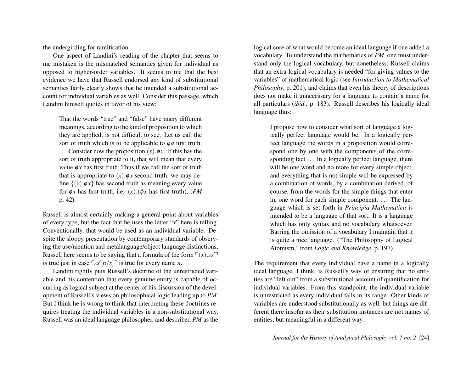the undergirding for ramification.

One aspect of Landini's reading of the chapter that seems to me mistaken is the mismatched semantics given for individual as opposed to higher-order variables. It seems to me that the best evidence we have that Russell endorsed any kind of substitutional semantics fairly clearly shows that he intended a substitutional account for individual variables as well. Consider this passage, which Landini himself quotes in favor of his view:

That the words "true" and "false" have many different meanings, according to the kind of proposition to which they are applied, is not difficult to see. Let us call the sort of truth which is to be applicable to φ*a* first truth. ... Consider now the proposition  $(x)$ . $\phi x$ . If this has the sort of truth appropriate to it, that will mean that every value  $\phi x$  has first truth. Thus if we call the sort of truth that is appropriate to  $(x)$ . $\phi x$  second truth, we may define  $\{(x) \cdot \phi x\}$  has second truth as meaning every value for φ*x* has first truth, i.e. (*x*).(φ*x* has first truth). (*PM* p. 42)

Russell is almost certainly making a general point about variables of every type, but the fact that he uses the letter "*x*" here is telling. Conventionally, that would be used as an individual variable. Despite the sloppy presentation by contemporary standards of observing the use/mention and metalanguage/object language distinctions, Russell here seems to be saying that a formula of the form  $\lceil (x) \mathcal{A} \rceil$ is true just in case  $\lceil \mathcal{A} \rceil n/x \rceil$  is true for every name *n*.

Landini rightly puts Russell's doctrine of the unrestricted variable and his contention that every genuine entity is capable of occurring as logical subject at the center of his discussion of the development of Russell's views on philosophical logic leading up to *PM*. But I think he is wrong to think that interpreting these doctrines requires treating the individual variables in a non-substitutional way. Russell was an ideal language philosopher, and described *PM* as the logical core of what would become an ideal language if one added a vocabulary. To understand the mathematics of *PM*, one must understand only the logical vocabulary, but nonetheless, Russell claims that an extra-logical vocabulary is needed "for giving values to the variables" of mathematical logic (see *Introduction to Mathematical Philosophy*, p. 201), and claims that even his theory of descriptions does not make it unnecessary for a language to contain a name for all particulars (*ibid.*, p. 183). Russell describes his logically ideal language thus:

I propose now to consider what sort of language a logically perfect language would be. In a logically perfect language the words in a proposition would correspond one by one with the components of the corresponding fact ... In a logically perfect language, there will be one word and no more for every simple object, and everything that is not simple will be expressed by a combination of words, by a combination derived, of course, from the words for the simple things that enter in, one word for each simple component. . . . The language which is set forth in *Principia Mathematica* is intended to be a language of that sort. It is a language which has only syntax and no vocabulary whatsoever. Barring the omission of a vocabulary I maintain that it is quite a nice language. ("The Philosophy of Logical Atomism," from *Logic and Knowledge*, p. 197)

The requirement that every individual have a name in a logically ideal language, I think, is Russell's way of ensuring that no entities are "left out" from a substitutional account of quantification for individual variables. From this standpoint, the individual variable is unrestricted as every individual falls in its range. Other kinds of variables are understood substitutionally as well, but things are different there insofar as their substitution instances are not names of entities, but meaningful in a different way.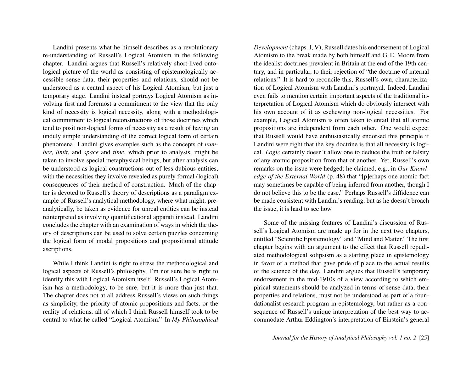Landini presents what he himself describes as a revolutionary re-understanding of Russell's Logical Atomism in the following chapter. Landini argues that Russell's relatively short-lived ontological picture of the world as consisting of epistemologically accessible sense-data, their properties and relations, should not be understood as a central aspect of his Logical Atomism, but just a temporary stage. Landini instead portrays Logical Atomism as involving first and foremost a commitment to the view that the only kind of necessity is logical necessity, along with a methodological commitment to logical reconstructions of those doctrines which tend to posit non-logical forms of necessity as a result of having an unduly simple understanding of the correct logical form of certain phenomena. Landini gives examples such as the concepts of *number*, *limit*, and *space* and *time*, which prior to analysis, might be taken to involve special metaphysical beings, but after analysis can be understood as logical constructions out of less dubious entities, with the necessities they involve revealed as purely formal (logical) consequences of their method of construction. Much of the chapter is devoted to Russell's theory of descriptions as a paradigm example of Russell's analytical methodology, where what might, preanalytically, be taken as evidence for unreal entities can be instead reinterpreted as involving quantificational apparati instead. Landini concludes the chapter with an examination of ways in which the theory of descriptions can be used to solve certain puzzles concerning the logical form of modal propositions and propositional attitude ascriptions.

While I think Landini is right to stress the methodological and logical aspects of Russell's philosophy, I'm not sure he is right to identify this with Logical Atomism itself. Russell's Logical Atomism has a methodology, to be sure, but it is more than just that. The chapter does not at all address Russell's views on such things as simplicity, the priority of atomic propositions and facts, or the reality of relations, all of which I think Russell himself took to be central to what he called "Logical Atomism." In *My Philosophical* *Development* (chaps. I, V), Russell dates his endorsement of Logical Atomism to the break made by both himself and G. E. Moore from the idealist doctrines prevalent in Britain at the end of the 19th century, and in particular, to their rejection of "the doctrine of internal relations." It is hard to reconcile this, Russell's own, characterization of Logical Atomism with Landini's portrayal. Indeed, Landini even fails to mention certain important aspects of the traditional interpretation of Logical Atomism which do obviously intersect with his own account of it as eschewing non-logical necessities. For example, Logical Atomism is often taken to entail that all atomic propositions are independent from each other. One would expect that Russell would have enthusiastically endorsed this principle if Landini were right that the key doctrine is that all necessity is logical. *Logic* certainly doesn't allow one to deduce the truth or falsity of any atomic proposition from that of another. Yet, Russell's own remarks on the issue were hedged; he claimed, e.g., in *Our Knowledge of the External World* (p. 48) that "[p]erhaps one atomic fact may sometimes be capable of being inferred from another, though I do not believe this to be the case." Perhaps Russell's diffidence can be made consistent with Landini's reading, but as he doesn't broach the issue, it is hard to see how.

Some of the missing features of Landini's discussion of Russell's Logical Atomism are made up for in the next two chapters, entitled "Scientific Epistemology" and "Mind and Matter." The first chapter begins with an argument to the effect that Russell repudiated methodological solipsism as a starting place in epistemology in favor of a method that gave pride of place to the actual results of the science of the day. Landini argues that Russell's temporary endorsement in the mid-1910s of a view according to which empirical statements should be analyzed in terms of sense-data, their properties and relations, must not be understood as part of a foundationalist research program in epistemology, but rather as a consequence of Russell's unique interpretation of the best way to accommodate Arthur Eddington's interpretation of Einstein's general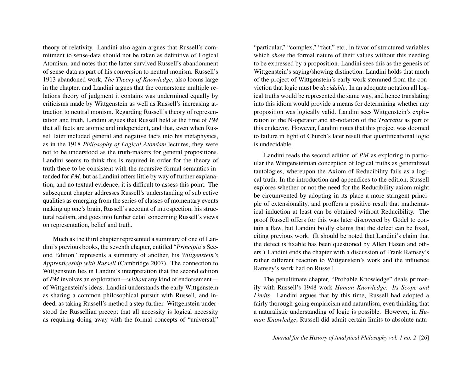theory of relativity. Landini also again argues that Russell's commitment to sense-data should not be taken as definitive of Logical Atomism, and notes that the latter survived Russell's abandonment of sense-data as part of his conversion to neutral monism. Russell's 1913 abandoned work, *The Theory of Knowledge*, also looms large in the chapter, and Landini argues that the cornerstone multiple relations theory of judgment it contains was undermined equally by criticisms made by Wittgenstein as well as Russell's increasing attraction to neutral monism. Regarding Russell's theory of representation and truth, Landini argues that Russell held at the time of *PM* that all facts are atomic and independent, and that, even when Russell later included general and negative facts into his metaphysics, as in the 1918 *Philosophy of Logical Atomism* lectures, they were not to be understood as the truth-makers for general propositions. Landini seems to think this is required in order for the theory of truth there to be consistent with the recursive formal semantics intended for *PM*, but as Landini offers little by way of further explanation, and no textual evidence, it is difficult to assess this point. The subsequent chapter addresses Russell's understanding of subjective qualities as emerging from the series of classes of momentary events making up one's brain, Russell's account of introspection, his structural realism, and goes into further detail concerning Russell's views on representation, belief and truth.

Much as the third chapter represented a summary of one of Landini's previous books, the seventh chapter, entitled "*Principia*'s Second Edition" represents a summary of another, his *Wittgenstein's Apprenticeship with Russell* (Cambridge 2007). The connection to Wittgenstein lies in Landini's interpretation that the second edition of *PM* involves an exploration—*without* any kind of endorsement of Wittgenstein's ideas. Landini understands the early Wittgenstein as sharing a common philosophical pursuit with Russell, and indeed, as taking Russell's method a step further. Wittgenstein understood the Russellian precept that all necessity is logical necessity as requiring doing away with the formal concepts of "universal,"

"particular," "complex," "fact," etc., in favor of structured variables which *show* the formal nature of their values without this needing to be expressed by a proposition. Landini sees this as the genesis of Wittgenstein's saying/showing distinction. Landini holds that much of the project of Wittgenstein's early work stemmed from the conviction that logic must be *decidable*. In an adequate notation all logical truths would be represented the same way, and hence translating into this idiom would provide a means for determining whether any proposition was logically valid. Landini sees Wittgenstein's exploration of the N-operator and ab-notation of the *Tractatus* as part of this endeavor. However, Landini notes that this project was doomed to failure in light of Church's later result that quantificational logic is undecidable.

Landini reads the second edition of *PM* as exploring in particular the Wittgensteinian conception of logical truths as generalized tautologies, whereupon the Axiom of Reducibility fails as a logical truth. In the introduction and appendices to the edition, Russell explores whether or not the need for the Reducibility axiom might be circumvented by adopting in its place a more stringent principle of extensionality, and proffers a positive result that mathematical induction at least can be obtained without Reducibility. The proof Russell offers for this was later discovered by Gödel to contain a flaw, but Landini boldly claims that the defect can be fixed, citing previous work. (It should be noted that Landini's claim that the defect is fixable has been questioned by Allen Hazen and others.) Landini ends the chapter with a discussion of Frank Ramsey's rather different reaction to Wittgenstein's work and the influence Ramsey's work had on Russell.

The penultimate chapter, "Probable Knowledge" deals primarily with Russell's 1948 work *Human Knowledge: Its Scope and Limits*. Landini argues that by this time, Russell had adopted a fairly thorough-going empiricism and naturalism, even thinking that a naturalistic understanding of logic is possible. However, in *Human Knowledge*, Russell did admit certain limits to absolute natu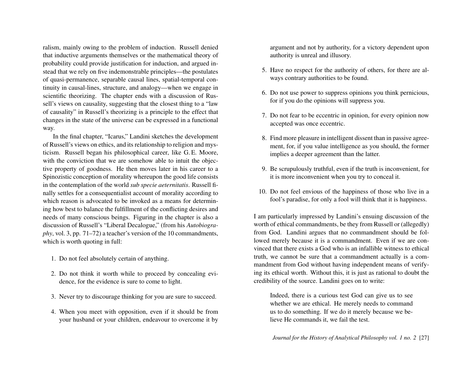ralism, mainly owing to the problem of induction. Russell denied that inductive arguments themselves or the mathematical theory of probability could provide justification for induction, and argued instead that we rely on five indemonstrable principles—the postulates of quasi-permanence, separable causal lines, spatial-temporal continuity in causal-lines, structure, and analogy—when we engage in scientific theorizing. The chapter ends with a discussion of Russell's views on causality, suggesting that the closest thing to a "law of causality" in Russell's theorizing is a principle to the effect that changes in the state of the universe can be expressed in a functional way.

In the final chapter, "Icarus," Landini sketches the development of Russell's views on ethics, and its relationship to religion and mysticism. Russell began his philosophical career, like G. E. Moore, with the conviction that we are somehow able to intuit the objective property of goodness. He then moves later in his career to a Spinozistic conception of morality whereupon the good life consists in the contemplation of the world *sub specie aeternitatis*. Russell finally settles for a consequentialist account of morality according to which reason is advocated to be invoked as a means for determining how best to balance the fulfillment of the conflicting desires and needs of many conscious beings. Figuring in the chapter is also a discussion of Russell's "Liberal Decalogue," (from his *Autobiography*, vol. 3, pp. 71–72) a teacher's version of the 10 commandments, which is worth quoting in full:

- 1. Do not feel absolutely certain of anything.
- 2. Do not think it worth while to proceed by concealing evidence, for the evidence is sure to come to light.
- 3. Never try to discourage thinking for you are sure to succeed.
- 4. When you meet with opposition, even if it should be from your husband or your children, endeavour to overcome it by

argument and not by authority, for a victory dependent upon authority is unreal and illusory.

- 5. Have no respect for the authority of others, for there are always contrary authorities to be found.
- 6. Do not use power to suppress opinions you think pernicious, for if you do the opinions will suppress you.
- 7. Do not fear to be eccentric in opinion, for every opinion now accepted was once eccentric.
- 8. Find more pleasure in intelligent dissent than in passive agreement, for, if you value intelligence as you should, the former implies a deeper agreement than the latter.
- 9. Be scrupulously truthful, even if the truth is inconvenient, for it is more inconvenient when you try to conceal it.
- 10. Do not feel envious of the happiness of those who live in a fool's paradise, for only a fool will think that it is happiness.

I am particularly impressed by Landini's ensuing discussion of the worth of ethical commandments, be they from Russell or (allegedly) from God. Landini argues that no commandment should be followed merely because it is a commandment. Even if we are convinced that there exists a God who is an infallible witness to ethical truth, we cannot be sure that a commandment actually is a commandment from God without having independent means of verifying its ethical worth. Without this, it is just as rational to doubt the credibility of the source. Landini goes on to write:

Indeed, there is a curious test God can give us to see whether we are ethical. He merely needs to command us to do something. If we do it merely because we believe He commands it, we fail the test.